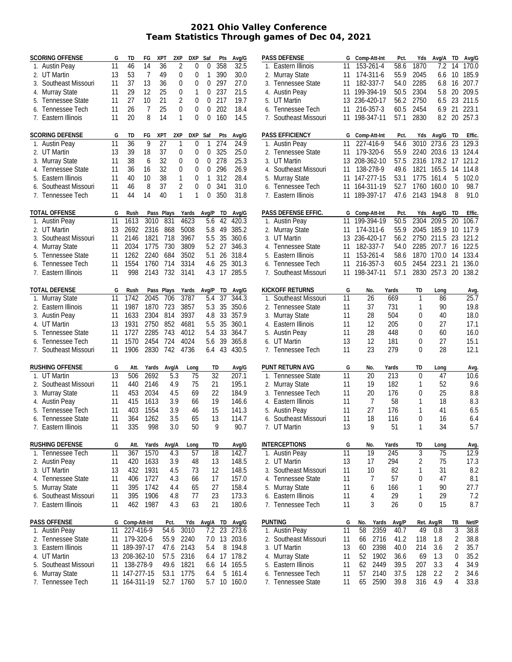## **2021 Ohio Valley Conference Team Statistics Through games of Dec 04, 2021**

| <b>SCORING OFFENSE</b> | G               | TD              | FG             | <b>XPT</b> | 2XP            | <b>DXP</b>     | Saf              | Pts             | Avg/G    |    | <b>PASS DEFENSE</b>    |
|------------------------|-----------------|-----------------|----------------|------------|----------------|----------------|------------------|-----------------|----------|----|------------------------|
| 1. Austin Peay         | 11              | 46              | 14             | 36         | $\overline{2}$ | $\overline{0}$ | $\boldsymbol{0}$ | 358             | 32.5     |    | 1. Eastern Illino      |
| 2. UT Martin           | 13              | 53              | $\overline{7}$ | 49         | 0              | 0              | 1                | 390             | 30.0     |    | 2. Murray State        |
| 3. Southeast Missouri  | 11              | 37              | 13             | 36         | 0              | 0              | $\overline{0}$   | 297             | 27.0     | 3. | Tennessee S            |
| 4. Murray State        | 11              | 29              | 12             | 25         | 0              | $\mathbf{1}$   | 0                | 237             | 21.5     |    | 4. Austin Peay         |
| 5. Tennessee State     | 11              | 27              | 10             | 21         | $\overline{2}$ | 0              | $\overline{0}$   | 217             | 19.7     |    | 5. UT Martin           |
| 6. Tennessee Tech      | 11              | 26              | 7              | 25         | $\overline{0}$ | 0              | 0                | 202             | 18.4     | 6. | Tennessee T            |
| 7. Eastern Illinois    | 11              | 20              | 8              | 14         | 1              | $\overline{0}$ | $\overline{0}$   | 160             | 14.5     | 7. | Southeast Mi           |
|                        |                 |                 |                |            |                |                |                  |                 |          |    |                        |
| <b>SCORING DEFENSE</b> | G               | TD              | FG             | XPT        | 2XP            | DXP            | Saf              | Pts             | Avg/G    |    | <b>PASS EFFICIENCY</b> |
| 1. Austin Peay         | 11              | $\overline{36}$ | 9              | 27         | 1              | 0              | 1                | 274             | 24.9     |    | 1. Austin Peay         |
| 2. UT Martin           | 13              | 39              | 18             | 37         | 0              | 0              | 0                | 325             | 25.0     |    | 2. Tennessee S         |
| 3. Murray State        | 11              | 38              | 6              | 32         | 0              | 0              | 0                | 278             | 25.3     |    | 3. UT Martin           |
| 4. Tennessee State     | 11              | 36              | 16             | 32         | 0              | 0              | 0                | 296             | 26.9     | 4. | Southeast Mi           |
| 5. Eastern Illinois    | 11              | 40              | 10             | 38         | $\mathbf{1}$   | 0              | $\mathbf{1}$     | 312             | 28.4     |    | 5. Murray State        |
| 6. Southeast Missouri  | 11              | 46              | 8              | 37         | $\overline{2}$ | 0              | $\overline{0}$   | 341             | 31.0     |    | 6. Tennessee T         |
| 7. Tennessee Tech      | 11              | 44              | 14             | 40         | 1              | 1              | $\overline{0}$   | 350             | 31.8     |    | 7. Eastern Illino      |
|                        |                 |                 |                |            |                |                |                  |                 |          |    |                        |
| <b>TOTAL OFFENSE</b>   | G               | Rush            |                | Pass Plays |                | Yards          | Avg/P            | TD              | Avg/G    |    | <b>PASS DEFENSE E</b>  |
| 1. Austin Peay         | 11              | 1613            | 3010           | 831        |                | 4623           | 5.6              | 42              | 420.3    |    | 1. Austin Peay         |
| 2. UT Martin           | 13              | 2692            | 2316           | 868        |                | 5008           | 5.8              | 49              | 385.2    |    | 2. Murray State        |
| 3. Southeast Missouri  | 11              | 2146            | 1821           | 718        |                | 3967           | 5.5              | 35              | 360.6    | 3. | <b>UT Martin</b>       |
| 4. Murray State        | 11              | 2034            | 1775           | 730        |                | 3809           | 5.2              | 27              | 346.3    | 4. | Tennessee S            |
| 5. Tennessee State     | 11              | 1262            | 2240           | 684        |                | 3502           | 5.1              | 26              | 318.4    | 5. | Eastern Illino         |
| 6. Tennessee Tech      | 11              | 1554            | 1760           | 714        |                | 3314           | 4.6              | 25              | 301.3    | 6. | Tennessee T            |
| 7. Eastern Illinois    | 11              | 998             | 2143           | 732        |                | 3141           | 4.3              | 17              | 285.5    | 7. | Southeast Mi           |
|                        |                 |                 |                |            |                |                |                  |                 |          |    |                        |
| <b>TOTAL DEFENSE</b>   | G               | Rush            |                | Pass Plays |                | Yards          | Avg/P            | TD              | Avg/G    |    | <b>KICKOFF RETURN</b>  |
| 1. Murray State        | 11              | 1742            | 2045           | 706        |                | 3787           | 5.4              | 37              | 344.3    | 1. | Southeast Mi           |
| 2. Eastern Illinois    | 11              | 1987            | 1870           | 723        |                | 3857           | 5.3              | 35              | 350.6    | 2. | Tennessee S            |
| 3. Austin Peay         | 11              | 1633            | 2304           | 814        |                | 3937           | 4.8              | 33              | 357.9    |    | 3. Murray State        |
| 4. UT Martin           | 13              | 1931            | 2750           | 852        |                | 4681           | 5.5              | 35              | 360.1    |    | 4. Eastern Illino      |
| 5. Tennessee State     | 11              | 1727            | 2285           | 743        |                | 4012           | 5.4              | 33              | 364.7    |    | 5. Austin Peay         |
| 6. Tennessee Tech      | 11              | 1570            | 2454           | 724        |                | 4024           | 5.6              | 39              | 365.8    |    | 6. UT Martin           |
| 7. Southeast Missouri  | 11              | 1906            | 2830           | 742        |                | 4736           | 6.4              | 43              | 430.5    | 7. | Tennessee T            |
|                        |                 |                 |                |            |                |                |                  |                 |          |    |                        |
| <b>RUSHING OFFENSE</b> | G               | Att.            | Yards          | Avg/A      |                | Long           |                  | TD              | Avg/G    |    | PUNT RETURN AV         |
| 1. UT Martin           | $\overline{13}$ | 506             | 2692           |            | 5.3            | 75             |                  | $\overline{32}$ | 207.1    | 1. | Tennessee S            |
| 2. Southeast Missouri  | 11              | 440             | 2146           |            | 4.9            | 75             |                  | 21              | 195.1    |    | 2. Murray State        |
| 3. Murray State        | 11              | 453             | 2034           |            | 4.5            | 69             |                  | 22              | 184.9    | 3. | Tennessee T            |
| 4. Austin Peay         | 11              | 415             | 1613           |            | 3.9            | 66             |                  | 19              | 146.6    | 4. | Eastern Illino         |
| 5. Tennessee Tech      | 11              | 403             | 1554           |            | 3.9            | 46             |                  | 15              | 141.3    |    | 5. Austin Peay         |
| 6. Tennessee State     | 11              | 364             | 1262           |            | 3.5            | 65             |                  | 13              | 114.7    |    | 6. Southeast Mi        |
| 7.<br>Eastern Illinois | 11              | 335             | 998            |            | 3.0            | 50             |                  | 9               | 90.7     |    | 7. UT Martin           |
|                        |                 |                 |                |            |                |                |                  |                 |          |    |                        |
| <b>RUSHING DEFENSE</b> | G               | Att.            | Yards          | Avg/A      |                | Long           |                  | TD              | Avg/G    |    | <b>INTERCEPTIONS</b>   |
| 1. Tennessee Tech      | 11              | 367             | 1570           |            | 4.3            | 57             |                  | 18              | 142.7    |    | 1. Austin Peay         |
| 2. Austin Peay         | 11              | 420             | 1633           |            | 3.9            | 48             |                  | 13              | 148.5    |    | 2. UT Martin           |
| 3. UT Martin           | 13              | 432             | 1931           |            | 4.5            | 73             |                  | 12              | 148.5    |    | 3. Southeast Mi        |
| 4. Tennessee State     | 11              | 406             | 1727           |            | 4.3            | 66             |                  | 17              | 157.0    |    | 4. Tennessee S         |
| 5. Murray State        | 11              | 395             | 1742           |            | 4.4            | 65             |                  | 27              | 158.4    |    | 5. Murray State        |
| 6. Southeast Missouri  | 11              | 395             | 1906           |            | 4.8            | 77             |                  | 23              | 173.3    |    | 6. Eastern Illino      |
| 7. Eastern Illinois    | 11              | 462             | 1987           |            | 4.3            | 63             |                  | 21              | 180.6    |    | 7. Tennessee T         |
|                        |                 |                 |                |            |                |                |                  |                 |          |    |                        |
| <b>PASS OFFENSE</b>    | G               | Comp-Att-Int    |                | Pct.       |                | Yds            | Avg/A            | TD              | Avg/G    |    | <b>PUNTING</b>         |
| 1. Austin Peay         | 11              | 227-416-9       |                | 54.6       |                | 3010           | 7.2              | 23              | 273.6    |    | 1. Austin Peay         |
| 2. Tennessee State     | 11              | 179-320-6       |                | 55.9       |                | 2240           | 7.0              | 13              | 203.6    |    | 2. Southeast Mi        |
| 3. Eastern Illinois    | 11              | 189-397-17      |                | 47.6       |                | 2143           | 5.4              | 8               | 194.8    |    | 3. UT Martin           |
| 4. UT Martin           | 13              | 208-362-10      |                | 57.5       |                | 2316           | 6.4              | 17              | 178.2    |    | 4. Murray State        |
| 5. Southeast Missouri  | 11              | 138-278-9       |                | 49.6       |                | 1821           | 6.6              | 14              | 165.5    |    | 5. Eastern Illino      |
| 6. Murray State        | 11              | 147-277-15      |                | 53.1       |                | 1775           | 6.4              | 5               | 161.4    |    | 6. Tennessee T         |
| 7. Tennessee Tech      | 11              | 164-311-19      |                | 52.7       |                | 1760           | 5.7              |                 | 10 160.0 |    | 7. Tennessee S         |

|    | <b>PASS DEFENSE</b>    | G  |           | Comp-Att-Int | Pct.  | Yds            | Avg/A      | TD              | Avg/G        |
|----|------------------------|----|-----------|--------------|-------|----------------|------------|-----------------|--------------|
|    | 1. Eastern Illinois    | 11 |           | 153-261-4    | 58.6  | 1870           | 7.2        | 14              | 170.0        |
| 2. | Murray State           | 11 | 174-311-6 |              | 55.9  | 2045           | 6.6        | 10              | 185.9        |
| 3. | <b>Tennessee State</b> | 11 |           | 182-337-7    | 54.0  | 2285           | 6.8        | 16              | 207.7        |
| 4. | <b>Austin Peay</b>     | 11 |           | 199-394-19   | 50.5  | 2304           | 5.8        | 20              | 209.5        |
| 5. | <b>UT Martin</b>       | 13 |           | 236-420-17   | 56.2  | 2750           | 6.5        | 23              | 211.5        |
| 6. | Tennessee Tech         | 11 |           | 216-357-3    | 60.5  | 2454           | 6.9        | 21              | 223.1        |
| 7. | Southeast Missouri     | 11 |           | 198-347-11   | 57.1  | 2830           | 8.2        | 20              | 257.3        |
|    |                        |    |           |              |       |                |            |                 |              |
|    | <b>PASS EFFICIENCY</b> | G  |           | Comp-Att-Int | Pct.  | Yds            | Avg/G      | TD              | Effic.       |
|    | 1. Austin Peay         | 11 |           | 227-416-9    | 54.6  | 3010           | 273.6      | $\overline{23}$ | 129.3        |
| 2. | <b>Tennessee State</b> | 11 |           | 179-320-6    | 55.9  | 2240           | 203.6      | 13              | 124.4        |
| 3. | <b>UT Martin</b>       | 13 |           | 208-362-10   | 57.5  | 2316           | 178.2      | 17              | 121.2        |
|    | 4. Southeast Missouri  | 11 |           | 138-278-9    | 49.6  | 1821           | 165.5      | 14              | 114.8        |
| 5. | <b>Murray State</b>    | 11 |           | 147-277-15   | 53.1  | 1775           | 161.4      | 5               | 102.0        |
| 6. | Tennessee Tech         | 11 |           | 164-311-19   | 52.7  | 1760           | 160.0      | 10              | 98.7         |
|    | 7. Eastern Illinois    | 11 |           | 189-397-17   | 47.6  | 2143           | 194.8      | 8               | 91.0         |
|    |                        |    |           |              |       |                |            |                 |              |
|    | PASS DEFENSE EFFIC.    | G  |           | Comp-Att-Int | Pct.  | Yds            | Avg/G      | TD              | Effic.       |
| 1. | <b>Austin Peay</b>     | 11 |           | 199-394-19   | 50.5  | 2304           | 209.5      | 20              | 106.7        |
| 2. | Murray State           | 11 |           | 174-311-6    | 55.9  | 2045           | 185.9      | 10              | 117.9        |
| 3. | <b>UT Martin</b>       | 13 |           | 236-420-17   | 56.2  | 2750           | 211.5      | 23              | 121.2        |
| 4. | Tennessee State        | 11 |           | 182-337-7    | 54.0  | 2285           | 207.7      | 16              | 122.5        |
|    | Eastern Illinois       | 11 |           | 153-261-4    | 58.6  | 1870           | 170.0      | 14              | 133.4        |
| 5. |                        |    |           |              |       | 2454           |            |                 |              |
| 6. | Tennessee Tech         | 11 |           | 216-357-3    | 60.5  |                | 223.1      | 21              | 136.0        |
| 7. | Southeast Missouri     | 11 |           | 198-347-11   | 57.1  | 2830           | 257.3      | 20              | 138.2        |
|    | KICKOFF RETURNS        | G  |           | No.          | Yards | TD             | Long       |                 |              |
| 1. | Southeast Missouri     | 11 |           | 26           | 669   | 1              | 86         |                 | Avg.<br>25.7 |
| 2. | Tennessee State        | 11 |           | 37           | 731   | 1              | 90         |                 | 19.8         |
|    |                        | 11 |           | 28           | 504   | 0              | 40         |                 | 18.0         |
| 3. | Murray State           | 11 |           | 12           |       |                |            |                 |              |
| 4. | Eastern Illinois       |    |           |              | 205   | 0              | 27         |                 | 17.1         |
|    | 5. Austin Peay         | 11 | 28        |              | 448   | 0<br>60        |            |                 | 16.0         |
| 6. | <b>UT Martin</b>       | 13 |           | 12           | 181   | $\mathbf 0$    | 27         |                 | 15.1         |
| 7. | Tennessee Tech         | 11 |           | 23           | 279   | 0              | 28         |                 | 12.1         |
|    | PUNT RETURN AVG        | G  |           | No.          | Yards | TD             | Long       |                 | Avg.         |
| 1. | <b>Tennessee State</b> | 11 |           | 20           | 213   | 0              | 47         |                 | 10.6         |
| 2. | Murray State           | 11 |           | 19           | 182   | 1              | 52         |                 | 9.6          |
| 3. | Tennessee Tech         | 11 |           | 20           | 176   | $\mathbf 0$    | 25         |                 | 8.8          |
| 4. | Eastern Illinois       | 11 |           | 7            | 58    | 1              | 18         |                 | 8.3          |
|    | <b>Austin Peay</b>     | 11 |           | 27           | 176   | 1              | 41         |                 | 6.5          |
| 5. |                        |    |           |              |       |                |            |                 |              |
|    | 6. Southeast Missouri  | 11 |           | 18           | 116   | $\mathbf 0$    | 16         |                 | 6.4          |
|    | 7. UT Martin           | 13 |           | 9            | 51    | 1              | 34         |                 | 5.7          |
|    | <b>INTERCEPTIONS</b>   | G  |           | No.          | Yards | TD             | Long       |                 | Avg.         |
| 1. | <b>Austin Peay</b>     | 11 |           | 19           | 245   | 3              | 75         |                 | 12.9         |
| 2. | UT Martin              | 13 |           | 17           | 294   | $\overline{2}$ | 75         |                 | 17.3         |
| 3. | Southeast Missouri     | 11 |           | 10           | 82    | 1              | 31         |                 | 8.2          |
|    | 4. Tennessee State     | 11 |           | 7            | 57    | $\mathbf 0$    | 47         |                 | 8.1          |
| 5. | Murray State           | 11 |           | 6            | 166   | 1              | 90         |                 | 27.7         |
| 6. | Eastern Illinois       | 11 |           | 4            | 29    | 1              | 29         |                 | 7.2          |
|    |                        | 11 |           | 3            |       |                |            |                 |              |
| 7. | Tennessee Tech         |    |           |              | 26    | $\mathbf 0$    | 15         |                 | 8.7          |
|    | PUNTING                | G  | No.       | Yards        | Avg/P |                | Ret. Avg/R | TB              | Net/P        |
| 1. | Austin Peay            | 11 | 58        | 2359         | 40.7  | 49             | 0.8        | 3               | 38.8         |
| 2. | Southeast Missouri     | 11 | 66        | 2716         | 41.2  | 118            | 1.8        | $\overline{2}$  | 38.8         |
| 3. | UT Martin              | 13 | 60        | 2398         | 40.0  | 214            | 3.6        | $\overline{2}$  | 35.7         |
| 4. | Murray State           | 11 | 52        | 1902         | 36.6  | 69             | 1.3        | 0               | 35.2         |
| 5. | Eastern Illinois       | 11 | 62        | 2449         | 39.5  | 207            | 3.3        | 4               | 34.9         |
| 6. | Tennessee Tech         | 11 | 57        | 2140         | 37.5  | 128            | 2.2        | 2               | 34.6         |
|    |                        |    |           |              |       |                |            | 4               |              |
| 7. | Tennessee State        | 11 | 65        | 2590         | 39.8  | 316            | 4.9        |                 | 33.8         |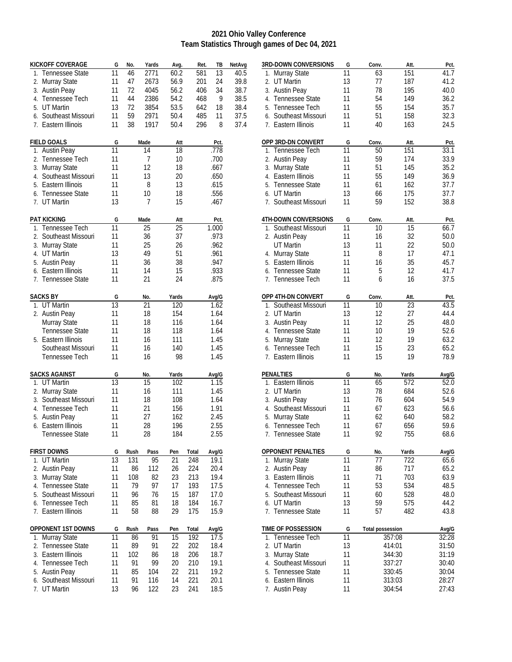## **2021 Ohio Valley Conference Team Statistics Through games of Dec 04, 2021**

|    | <b>KICKOFF COVERAGE</b> | G               | No.  | Yards | Avg.  | Ret.  | TB    | NetAvg |
|----|-------------------------|-----------------|------|-------|-------|-------|-------|--------|
|    | 1. Tennessee State      | 11              | 46   | 2771  | 60.2  | 581   | 13    | 40.5   |
|    | 2. Murray State         | 11              | 47   | 2673  | 56.9  | 201   | 24    | 39.8   |
| 3. | <b>Austin Peay</b>      | 11              | 72   | 4045  | 56.2  | 406   | 34    | 38.7   |
|    | 4. Tennessee Tech       | 11              | 44   | 2386  | 54.2  | 468   | 9     | 38.5   |
|    | 5. UT Martin            | 13              | 72   | 3854  | 53.5  | 642   | 18    | 38.4   |
|    | 6. Southeast Missouri   | 11              | 59   | 2971  | 50.4  | 485   | 11    | 37.5   |
|    | 7. Eastern Illinois     | 11              | 38   | 1917  | 50.4  | 296   | 8     | 37.4   |
|    | <b>FIELD GOALS</b>      | G               |      | Made  | Att   |       | Pct.  |        |
| 1. | <b>Austin Peay</b>      | 11              |      | 14    | 18    |       | .778  |        |
|    | 2. Tennessee Tech       | 11              |      | 7     | 10    |       | .700  |        |
|    | 3. Murray State         | 11              |      | 12    | 18    |       | .667  |        |
|    | 4. Southeast Missouri   | 11              |      | 13    | 20    |       | .650  |        |
|    | 5. Eastern Illinois     | 11              |      | 8     | 13    |       | .615  |        |
|    | 6. Tennessee State      | 11              |      | 10    | 18    |       | .556  |        |
|    | 7. UT Martin            | 13              |      | 7     | 15    |       | .467  |        |
|    | <b>PAT KICKING</b>      | G               |      | Made  | Att   |       | Pct.  |        |
|    | 1. Tennessee Tech       | 11              |      | 25    | 25    |       | 1.000 |        |
|    | 2. Southeast Missouri   | 11              |      | 36    | 37    |       | .973  |        |
|    | 3. Murray State         | 11              |      | 25    | 26    |       | .962  |        |
|    | 4. UT Martin            | 13              |      | 49    | 51    |       | .961  |        |
|    | 5. Austin Peay          | 11              |      | 36    | 38    |       | .947  |        |
|    | 6. Eastern Illinois     | 11              |      | 14    | 15    |       | .933  |        |
|    | 7. Tennessee State      | 11              |      | 21    | 24    |       | .875  |        |
|    | <b>SACKS BY</b>         | G               |      | No.   | Yards |       | Avg/G |        |
|    | 1. UT Martin            | 13              |      | 21    | 120   |       | 1.62  |        |
|    | 2. Austin Peay          | 11              |      | 18    | 154   |       | 1.64  |        |
|    | Murray State            | 11              |      | 18    | 116   |       | 1.64  |        |
|    | Tennessee State         | 11              |      | 18    | 118   |       | 1.64  |        |
|    | 5. Eastern Illinois     | 11              |      | 16    | 111   |       | 1.45  |        |
|    | Southeast Missouri      | 11              |      | 16    | 140   |       | 1.45  |        |
|    | Tennessee Tech          | 11              |      | 16    | 98    |       | 1.45  |        |
|    | <b>SACKS AGAINST</b>    | G               |      | No.   | Yards |       | Avg/G |        |
|    | 1. UT Martin            | $\overline{13}$ |      | 15    | 102   |       | 1.15  |        |
|    | 2. Murray State         | 11              |      | 16    | 111   |       | 1.45  |        |
|    | 3. Southeast Missouri   | 11              |      | 18    | 108   |       | 1.64  |        |
|    | 4. Tennessee Tech       | 11              |      | 21    | 156   |       | 1.91  |        |
|    | 5. Austin Peay          | 11              |      | 27    | 162   |       | 2.45  |        |
|    | 6. Eastern Illinois     | 11              |      | 28    | 196   |       | 2.55  |        |
|    | Tennessee State         | 11              |      | 28    | 184   |       | 2.55  |        |
|    | <b>FIRST DOWNS</b>      | G               | Rush | Pass  | Pen   | Total | Avg/G |        |
|    | 1. UT Martin            | 13              | 131  | 95    | 21    | 248   | 19.1  |        |
| 2. | Austin Peay             | 11              | 86   | 112   | 26    | 224   | 20.4  |        |
| 3. | Murray State            | 11              | 108  | 82    | 23    | 213   | 19.4  |        |
| 4. | Tennessee State         | 11              | 79   | 97    | 17    | 193   | 17.5  |        |
| 5. | Southeast Missouri      | 11              | 96   | 76    | 15    | 187   | 17.0  |        |
| 6. | Tennessee Tech          | 11              | 85   | 81    | 18    | 184   | 16.7  |        |
|    | 7. Eastern Illinois     | 11              | 58   | 88    | 29    | 175   | 15.9  |        |
|    | OPPONENT 1ST DOWNS      | G               | Rush | Pass  | Pen   | Total | Avg/G |        |
| 1. | Murray State            | 11              | 86   | 91    | 15    | 192   | 17.5  |        |
| 2. | Tennessee State         | 11              | 89   | 91    | 22    | 202   | 18.4  |        |
| 3. | Eastern Illinois        | 11              | 102  | 86    | 18    | 206   | 18.7  |        |
|    | 4. Tennessee Tech       | 11              | 91   | 99    | 20    | 210   | 19.1  |        |
| 5. | <b>Austin Peay</b>      | 11              | 85   | 104   | 22    | 211   | 19.2  |        |
| 6. | Southeast Missouri      | 11              | 91   | 116   | 14    | 221   | 20.1  |        |
| 7. | UT Martin               | 13              | 96   | 122   | 23    | 241   | 18.5  |        |

|    | 3RD-DOWN CONVERSIONS      | G  | Conv.                   | Att.   | Pct.  |
|----|---------------------------|----|-------------------------|--------|-------|
| 1. | Murray State              | 11 | 63                      | 151    | 41.7  |
| 2. | <b>UT Martin</b>          | 13 | 77                      | 187    | 41.2  |
| 3. | <b>Austin Peay</b>        | 11 | 78                      | 195    | 40.0  |
| 4. | <b>Tennessee State</b>    | 11 | 54                      | 149    | 36.2  |
|    | 5. Tennessee Tech         | 11 | 55                      | 154    | 35.7  |
| 6. | Southeast Missouri        | 11 | 51                      | 158    | 32.3  |
|    | 7. Eastern Illinois       | 11 | 40                      | 163    | 24.5  |
|    | OPP 3RD-DN CONVERT        | G  | Conv.                   | Att.   | Pct.  |
| 1. | Tennessee Tech            | 11 | 50                      | 151    | 33.1  |
| 2. | <b>Austin Peay</b>        | 11 | 59                      | 174    | 33.9  |
| 3. | Murray State              | 11 | 51                      | 145    | 35.2  |
| 4. | Eastern Illinois          | 11 | 55                      | 149    | 36.9  |
|    | 5. Tennessee State        | 11 | 61                      | 162    | 37.7  |
|    | 6. UT Martin              | 13 | 66                      | 175    | 37.7  |
|    | 7. Southeast Missouri     | 11 | 59                      | 152    | 38.8  |
|    | 4TH-DOWN CONVERSIONS      | G  | Conv.                   | Att.   | Pct.  |
| 1. | Southeast Missouri        | 11 | 10                      | 15     | 66.7  |
|    | 2. Austin Peay            | 11 | 16                      | 32     | 50.0  |
|    | <b>UT Martin</b>          | 13 | 11                      | 22     | 50.0  |
|    | 4. Murray State           | 11 | 8                       | 17     | 47.1  |
|    | 5. Eastern Illinois       | 11 | 16                      | 35     | 45.7  |
|    | 6. Tennessee State        | 11 | 5                       | 12     | 41.7  |
|    | 7. Tennessee Tech         | 11 | 6                       | 16     | 37.5  |
|    |                           |    |                         |        |       |
|    | OPP 4TH-DN CONVERT        | G  | Conv.                   | Att.   | Pct.  |
| 1. | Southeast Missouri        | 11 | 10                      | 23     | 43.5  |
|    | 2. UT Martin              | 13 | 12                      | 27     | 44.4  |
| 3. | <b>Austin Peay</b>        | 11 | 12                      | 25     | 48.0  |
|    | 4. Tennessee State        | 11 | 10                      | 19     | 52.6  |
| 5. | Murray State              | 11 | 12                      | 19     | 63.2  |
| 6. | Tennessee Tech            | 11 | 15                      | 23     | 65.2  |
| 7. | Eastern Illinois          | 11 | 15                      | 19     | 78.9  |
|    | <b>PENALTIES</b>          | G  | No.                     | Yards  | Avg/G |
| 1. | Eastern Illinois          | 11 | 65                      | 572    | 52.0  |
|    | 2. UT Martin              | 13 | 78                      | 684    | 52.6  |
| 3. | <b>Austin Peay</b>        | 11 | 76                      | 604    | 54.9  |
| 4. | Southeast Missouri        | 11 | 67                      | 623    | 56.6  |
| 5. | <b>Murray State</b>       | 11 | 62                      | 640    | 58.2  |
|    | 6. Tennessee Tech         | 11 | 67                      | 656    | 59.6  |
| 7. | Tennessee State           | 11 | 92                      | 755    | 68.6  |
|    | <b>OPPONENT PENALTIES</b> | G  | No.                     | Yards  | Avg/G |
| 1. | Murray State              | 11 | 77                      | 722    | 65.6  |
| 2. | <b>Austin Peay</b>        | 11 | 86                      | 717    | 65.2  |
| 3. | Eastern Illinois          | 11 | 71                      | 703    | 63.9  |
|    | 4. Tennessee Tech         | 11 | 53                      | 534    | 48.5  |
|    | 5. Southeast Missouri     | 11 | 60                      | 528    | 48.0  |
|    | 6. UT Martin              | 13 | 59                      | 575    | 44.2  |
|    | 7. Tennessee State        | 11 | 57                      | 482    | 43.8  |
|    | time of possession        | G  | <b>Total possession</b> |        | Avg/G |
| 1. | Tennessee Tech            | 11 |                         | 357:08 | 32:28 |
| 2. | <b>UT Martin</b>          | 13 |                         | 414:01 | 31:50 |
| 3. | Murray State              | 11 |                         | 344:30 | 31:19 |
| 4. | Southeast Missouri        | 11 |                         | 337:27 | 30:40 |
| 5. | Tennessee State           | 11 |                         | 330:45 | 30:04 |
| 6. | Eastern Illinois          | 11 |                         | 313:03 | 28:27 |
| 7. | <b>Austin Peay</b>        | 11 |                         | 304:54 | 27:43 |
|    |                           |    |                         |        |       |